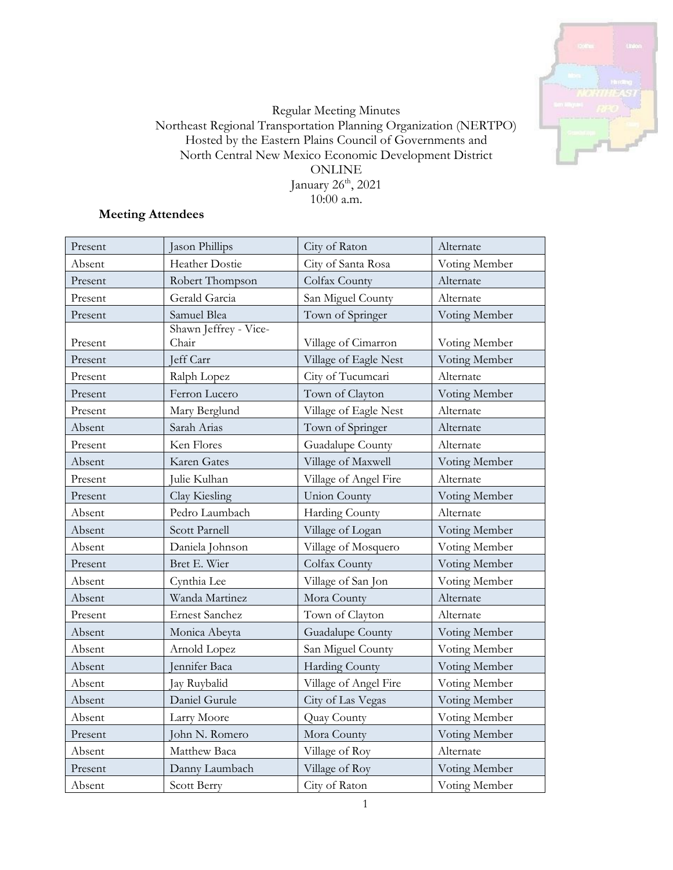

# Regular Meeting Minutes Northeast Regional Transportation Planning Organization (NERTPO) Hosted by the Eastern Plains Council of Governments and North Central New Mexico Economic Development District ONLINE January 26<sup>th</sup>, 2021 10:00 a.m.

# **Meeting Attendees**

| Present | Jason Phillips                 | City of Raton         | Alternate     |
|---------|--------------------------------|-----------------------|---------------|
| Absent  | Heather Dostie                 | City of Santa Rosa    | Voting Member |
| Present | Robert Thompson                | Colfax County         | Alternate     |
| Present | Gerald Garcia                  | San Miguel County     | Alternate     |
| Present | Samuel Blea                    | Town of Springer      | Voting Member |
| Present | Shawn Jeffrey - Vice-<br>Chair | Village of Cimarron   | Voting Member |
| Present | Jeff Carr                      | Village of Eagle Nest | Voting Member |
| Present | Ralph Lopez                    | City of Tucumcari     | Alternate     |
| Present | Ferron Lucero                  | Town of Clayton       | Voting Member |
| Present | Mary Berglund                  | Village of Eagle Nest | Alternate     |
| Absent  | Sarah Arias                    | Town of Springer      | Alternate     |
| Present | Ken Flores                     | Guadalupe County      | Alternate     |
| Absent  | Karen Gates                    | Village of Maxwell    | Voting Member |
| Present | Julie Kulhan                   | Village of Angel Fire | Alternate     |
| Present | Clay Kiesling                  | <b>Union County</b>   | Voting Member |
| Absent  | Pedro Laumbach                 | Harding County        | Alternate     |
| Absent  | Scott Parnell                  | Village of Logan      | Voting Member |
| Absent  | Daniela Johnson                | Village of Mosquero   | Voting Member |
| Present | Bret E. Wier                   | Colfax County         | Voting Member |
| Absent  | Cynthia Lee                    | Village of San Jon    | Voting Member |
| Absent  | Wanda Martinez                 | Mora County           | Alternate     |
| Present | <b>Ernest Sanchez</b>          | Town of Clayton       | Alternate     |
| Absent  | Monica Abeyta                  | Guadalupe County      | Voting Member |
| Absent  | Arnold Lopez                   | San Miguel County     | Voting Member |
| Absent  | ennifer Baca                   | Harding County        | Voting Member |
| Absent  | Jay Ruybalid                   | Village of Angel Fire | Voting Member |
| Absent  | Daniel Gurule                  | City of Las Vegas     | Voting Member |
| Absent  | Larry Moore                    | Quay County           | Voting Member |
| Present | John N. Romero                 | Mora County           | Voting Member |
| Absent  | Matthew Baca                   | Village of Roy        | Alternate     |
| Present | Danny Laumbach                 | Village of Roy        | Voting Member |
| Absent  | Scott Berry                    | City of Raton         | Voting Member |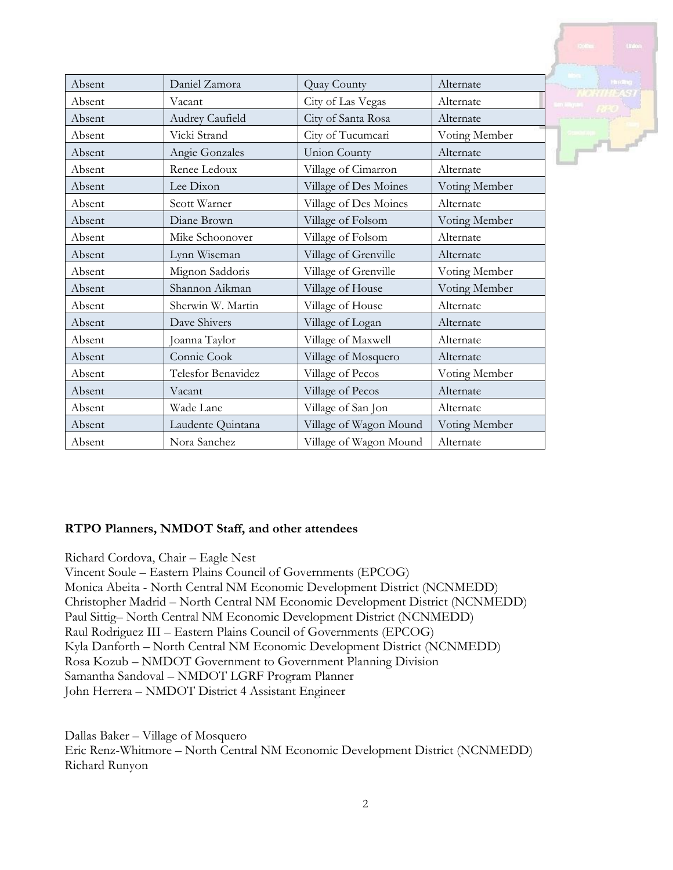| Absent | Daniel Zamora      | Quay County            | Alternate     |
|--------|--------------------|------------------------|---------------|
| Absent | Vacant             | City of Las Vegas      | Alternate     |
| Absent | Audrey Caufield    | City of Santa Rosa     | Alternate     |
| Absent | Vicki Strand       | City of Tucumcari      | Voting Member |
| Absent | Angie Gonzales     | <b>Union County</b>    | Alternate     |
| Absent | Renee Ledoux       | Village of Cimarron    | Alternate     |
| Absent | Lee Dixon          | Village of Des Moines  | Voting Member |
| Absent | Scott Warner       | Village of Des Moines  | Alternate     |
| Absent | Diane Brown        | Village of Folsom      | Voting Member |
| Absent | Mike Schoonover    | Village of Folsom      | Alternate     |
| Absent | Lynn Wiseman       | Village of Grenville   | Alternate     |
| Absent | Mignon Saddoris    | Village of Grenville   | Voting Member |
| Absent | Shannon Aikman     | Village of House       | Voting Member |
| Absent | Sherwin W. Martin  | Village of House       | Alternate     |
| Absent | Dave Shivers       | Village of Logan       | Alternate     |
| Absent | Joanna Taylor      | Village of Maxwell     | Alternate     |
| Absent | Connie Cook        | Village of Mosquero    | Alternate     |
| Absent | Telesfor Benavidez | Village of Pecos       | Voting Member |
| Absent | Vacant             | Village of Pecos       | Alternate     |
| Absent | Wade Lane          | Village of San Jon     | Alternate     |
| Absent | Laudente Quintana  | Village of Wagon Mound | Voting Member |
| Absent | Nora Sanchez       | Village of Wagon Mound | Alternate     |

# **RTPO Planners, NMDOT Staff, and other attendees**

Richard Cordova, Chair – Eagle Nest

Vincent Soule – Eastern Plains Council of Governments (EPCOG) Monica Abeita - North Central NM Economic Development District (NCNMEDD) Christopher Madrid – North Central NM Economic Development District (NCNMEDD) Paul Sittig– North Central NM Economic Development District (NCNMEDD) Raul Rodriguez III – Eastern Plains Council of Governments (EPCOG) Kyla Danforth – North Central NM Economic Development District (NCNMEDD) Rosa Kozub – NMDOT Government to Government Planning Division Samantha Sandoval – NMDOT LGRF Program Planner John Herrera – NMDOT District 4 Assistant Engineer

Dallas Baker – Village of Mosquero Eric Renz-Whitmore – North Central NM Economic Development District (NCNMEDD) Richard Runyon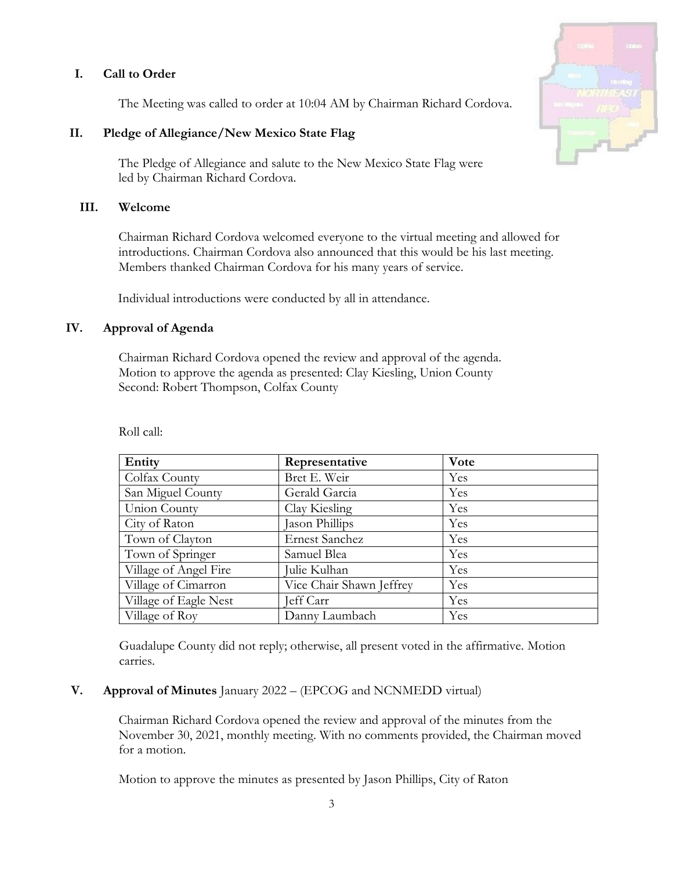# **I. Call to Order**

The Meeting was called to order at 10:04 AM by Chairman Richard Cordova.

### **II. Pledge of Allegiance/New Mexico State Flag**

The Pledge of Allegiance and salute to the New Mexico State Flag were led by Chairman Richard Cordova.

### **III. Welcome**

Chairman Richard Cordova welcomed everyone to the virtual meeting and allowed for introductions. Chairman Cordova also announced that this would be his last meeting. Members thanked Chairman Cordova for his many years of service.

Individual introductions were conducted by all in attendance.

### **IV. Approval of Agenda**

Chairman Richard Cordova opened the review and approval of the agenda. Motion to approve the agenda as presented: Clay Kiesling, Union County Second: Robert Thompson, Colfax County

| Entity                | Representative           | Vote |
|-----------------------|--------------------------|------|
| Colfax County         | Bret E. Weir             | Yes  |
| San Miguel County     | Gerald Garcia            | Yes  |
| Union County          | Clay Kiesling            | Yes  |
| City of Raton         | Jason Phillips           | Yes  |
| Town of Clayton       | Ernest Sanchez           | Yes  |
| Town of Springer      | Samuel Blea              | Yes  |
| Village of Angel Fire | Julie Kulhan             | Yes  |
| Village of Cimarron   | Vice Chair Shawn Jeffrey | Yes  |
| Village of Eagle Nest | Jeff Carr                | Yes  |
| Village of Roy        | Danny Laumbach           | Yes  |

Roll call:

Guadalupe County did not reply; otherwise, all present voted in the affirmative. Motion carries.

### **V. Approval of Minutes** January 2022 – (EPCOG and NCNMEDD virtual)

Chairman Richard Cordova opened the review and approval of the minutes from the November 30, 2021, monthly meeting. With no comments provided, the Chairman moved for a motion.

Motion to approve the minutes as presented by Jason Phillips, City of Raton

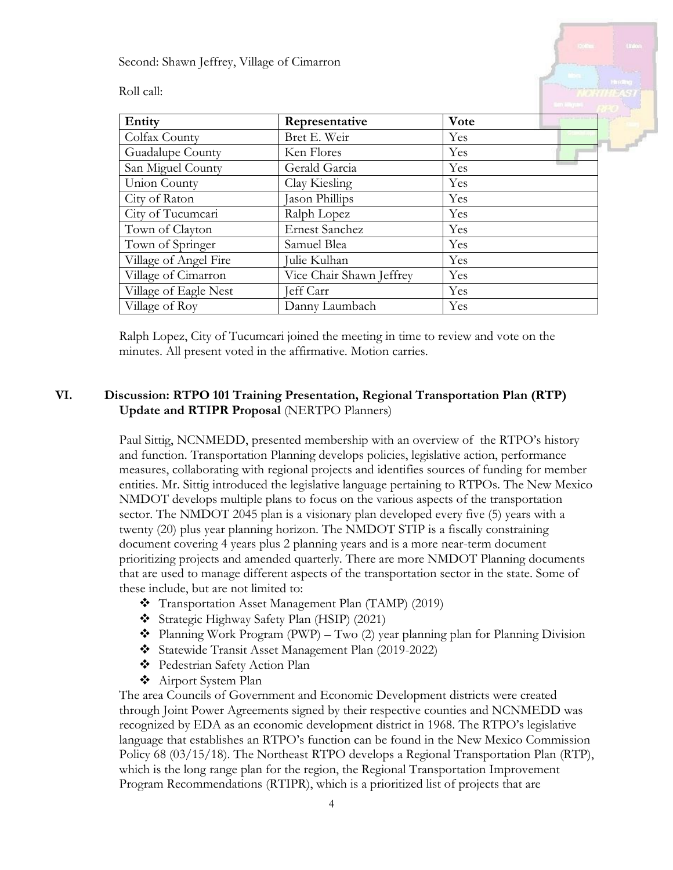Second: Shawn Jeffrey, Village of Cimarron

Roll call:

| Entity                | Representative           | Vote |
|-----------------------|--------------------------|------|
| Colfax County         | Bret E. Weir             | Yes  |
| Guadalupe County      | Ken Flores               | Yes  |
| San Miguel County     | Gerald Garcia            | Yes  |
| Union County          | Clay Kiesling            | Yes  |
| City of Raton         | Jason Phillips           | Yes  |
| City of Tucumcari     | Ralph Lopez              | Yes  |
| Town of Clayton       | <b>Ernest Sanchez</b>    | Yes  |
| Town of Springer      | Samuel Blea              | Yes  |
| Village of Angel Fire | Julie Kulhan             | Yes  |
| Village of Cimarron   | Vice Chair Shawn Jeffrey | Yes  |
| Village of Eagle Nest | Jeff Carr                | Yes  |
| Village of Roy        | Danny Laumbach           | Yes  |
|                       |                          |      |

Ralph Lopez, City of Tucumcari joined the meeting in time to review and vote on the minutes. All present voted in the affirmative. Motion carries.

# **VI. Discussion: RTPO 101 Training Presentation, Regional Transportation Plan (RTP) Update and RTIPR Proposal** (NERTPO Planners)

Paul Sittig, NCNMEDD, presented membership with an overview of the RTPO's history and function. Transportation Planning develops policies, legislative action, performance measures, collaborating with regional projects and identifies sources of funding for member entities. Mr. Sittig introduced the legislative language pertaining to RTPOs. The New Mexico NMDOT develops multiple plans to focus on the various aspects of the transportation sector. The NMDOT 2045 plan is a visionary plan developed every five (5) years with a twenty (20) plus year planning horizon. The NMDOT STIP is a fiscally constraining document covering 4 years plus 2 planning years and is a more near-term document prioritizing projects and amended quarterly. There are more NMDOT Planning documents that are used to manage different aspects of the transportation sector in the state. Some of these include, but are not limited to:

- Transportation Asset Management Plan (TAMP) (2019)
- Strategic Highway Safety Plan (HSIP) (2021)
- $\triangleleft$  Planning Work Program (PWP) Two (2) year planning plan for Planning Division
- Statewide Transit Asset Management Plan (2019-2022)
- Pedestrian Safety Action Plan
- Airport System Plan

The area Councils of Government and Economic Development districts were created through Joint Power Agreements signed by their respective counties and NCNMEDD was recognized by EDA as an economic development district in 1968. The RTPO's legislative language that establishes an RTPO's function can be found in the New Mexico Commission Policy 68 (03/15/18). The Northeast RTPO develops a Regional Transportation Plan (RTP), which is the long range plan for the region, the Regional Transportation Improvement Program Recommendations (RTIPR), which is a prioritized list of projects that are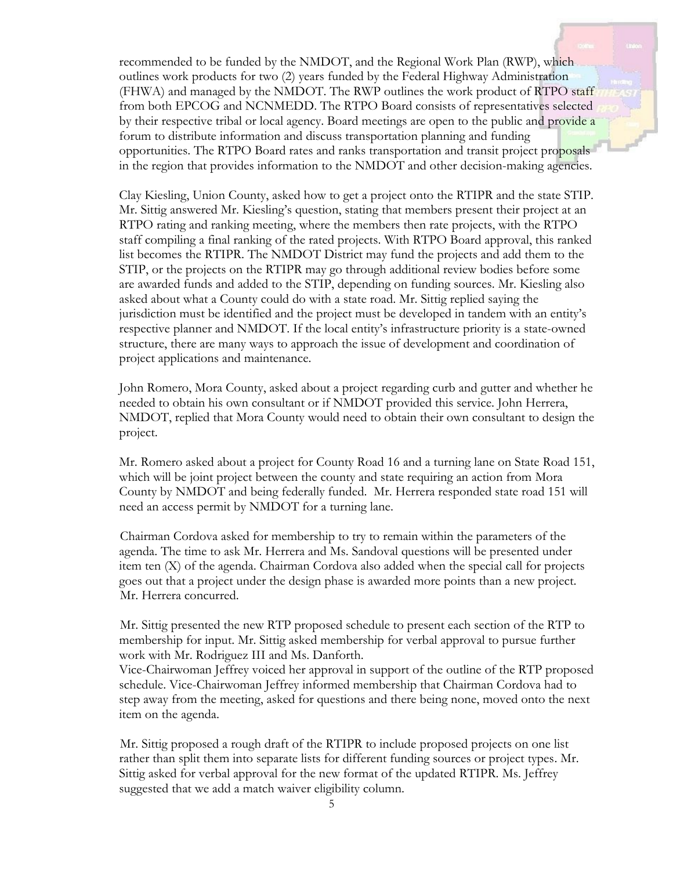recommended to be funded by the NMDOT, and the Regional Work Plan (RWP), which outlines work products for two (2) years funded by the Federal Highway Administration (FHWA) and managed by the NMDOT. The RWP outlines the work product of RTPO staff from both EPCOG and NCNMEDD. The RTPO Board consists of representatives selected by their respective tribal or local agency. Board meetings are open to the public and provide a forum to distribute information and discuss transportation planning and funding opportunities. The RTPO Board rates and ranks transportation and transit project proposals in the region that provides information to the NMDOT and other decision-making agencies.

Clay Kiesling, Union County, asked how to get a project onto the RTIPR and the state STIP. Mr. Sittig answered Mr. Kiesling's question, stating that members present their project at an RTPO rating and ranking meeting, where the members then rate projects, with the RTPO staff compiling a final ranking of the rated projects. With RTPO Board approval, this ranked list becomes the RTIPR. The NMDOT District may fund the projects and add them to the STIP, or the projects on the RTIPR may go through additional review bodies before some are awarded funds and added to the STIP, depending on funding sources. Mr. Kiesling also asked about what a County could do with a state road. Mr. Sittig replied saying the jurisdiction must be identified and the project must be developed in tandem with an entity's respective planner and NMDOT. If the local entity's infrastructure priority is a state-owned structure, there are many ways to approach the issue of development and coordination of project applications and maintenance.

John Romero, Mora County, asked about a project regarding curb and gutter and whether he needed to obtain his own consultant or if NMDOT provided this service. John Herrera, NMDOT, replied that Mora County would need to obtain their own consultant to design the project.

Mr. Romero asked about a project for County Road 16 and a turning lane on State Road 151, which will be joint project between the county and state requiring an action from Mora County by NMDOT and being federally funded. Mr. Herrera responded state road 151 will need an access permit by NMDOT for a turning lane.

Chairman Cordova asked for membership to try to remain within the parameters of the agenda. The time to ask Mr. Herrera and Ms. Sandoval questions will be presented under item ten (X) of the agenda. Chairman Cordova also added when the special call for projects goes out that a project under the design phase is awarded more points than a new project. Mr. Herrera concurred.

Mr. Sittig presented the new RTP proposed schedule to present each section of the RTP to membership for input. Mr. Sittig asked membership for verbal approval to pursue further work with Mr. Rodriguez III and Ms. Danforth.

Vice-Chairwoman Jeffrey voiced her approval in support of the outline of the RTP proposed schedule. Vice-Chairwoman Jeffrey informed membership that Chairman Cordova had to step away from the meeting, asked for questions and there being none, moved onto the next item on the agenda.

Mr. Sittig proposed a rough draft of the RTIPR to include proposed projects on one list rather than split them into separate lists for different funding sources or project types. Mr. Sittig asked for verbal approval for the new format of the updated RTIPR. Ms. Jeffrey suggested that we add a match waiver eligibility column.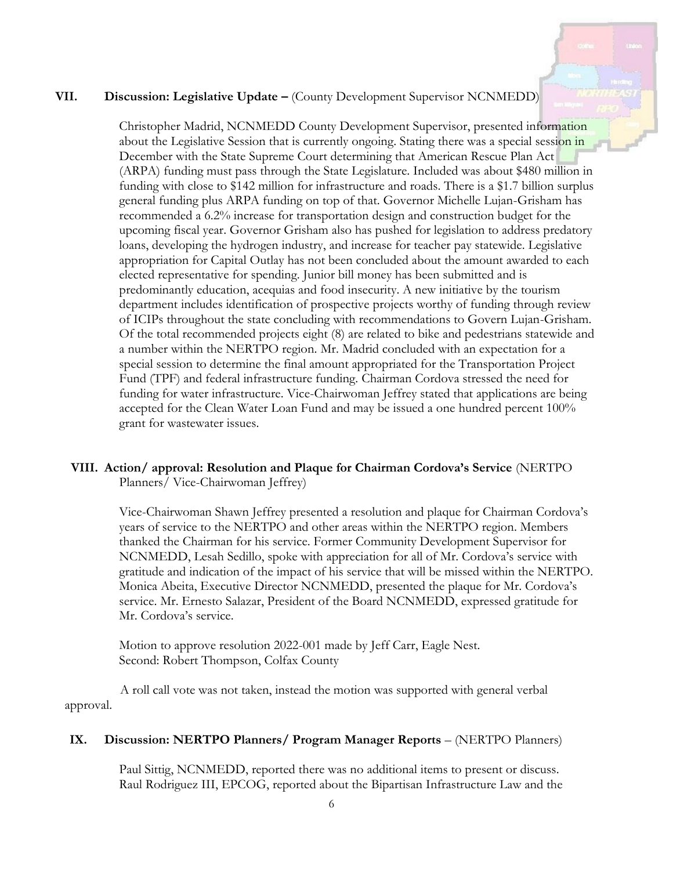### **VII. Discussion: Legislative Update –** (County Development Supervisor NCNMEDD)

Christopher Madrid, NCNMEDD County Development Supervisor, presented information about the Legislative Session that is currently ongoing. Stating there was a special session in December with the State Supreme Court determining that American Rescue Plan Act (ARPA) funding must pass through the State Legislature. Included was about \$480 million in funding with close to \$142 million for infrastructure and roads. There is a \$1.7 billion surplus general funding plus ARPA funding on top of that. Governor Michelle Lujan-Grisham has recommended a 6.2% increase for transportation design and construction budget for the upcoming fiscal year. Governor Grisham also has pushed for legislation to address predatory loans, developing the hydrogen industry, and increase for teacher pay statewide. Legislative appropriation for Capital Outlay has not been concluded about the amount awarded to each elected representative for spending. Junior bill money has been submitted and is predominantly education, acequias and food insecurity. A new initiative by the tourism department includes identification of prospective projects worthy of funding through review of ICIPs throughout the state concluding with recommendations to Govern Lujan-Grisham. Of the total recommended projects eight (8) are related to bike and pedestrians statewide and a number within the NERTPO region. Mr. Madrid concluded with an expectation for a special session to determine the final amount appropriated for the Transportation Project Fund (TPF) and federal infrastructure funding. Chairman Cordova stressed the need for funding for water infrastructure. Vice-Chairwoman Jeffrey stated that applications are being accepted for the Clean Water Loan Fund and may be issued a one hundred percent 100% grant for wastewater issues.

### **VIII. Action/ approval: Resolution and Plaque for Chairman Cordova's Service** (NERTPO Planners/ Vice-Chairwoman Jeffrey)

Vice-Chairwoman Shawn Jeffrey presented a resolution and plaque for Chairman Cordova's years of service to the NERTPO and other areas within the NERTPO region. Members thanked the Chairman for his service. Former Community Development Supervisor for NCNMEDD, Lesah Sedillo, spoke with appreciation for all of Mr. Cordova's service with gratitude and indication of the impact of his service that will be missed within the NERTPO. Monica Abeita, Executive Director NCNMEDD, presented the plaque for Mr. Cordova's service. Mr. Ernesto Salazar, President of the Board NCNMEDD, expressed gratitude for Mr. Cordova's service.

Motion to approve resolution 2022-001 made by Jeff Carr, Eagle Nest. Second: Robert Thompson, Colfax County

A roll call vote was not taken, instead the motion was supported with general verbal approval.

#### **IX. Discussion: NERTPO Planners/ Program Manager Reports** – (NERTPO Planners)

Paul Sittig, NCNMEDD, reported there was no additional items to present or discuss. Raul Rodriguez III, EPCOG, reported about the Bipartisan Infrastructure Law and the